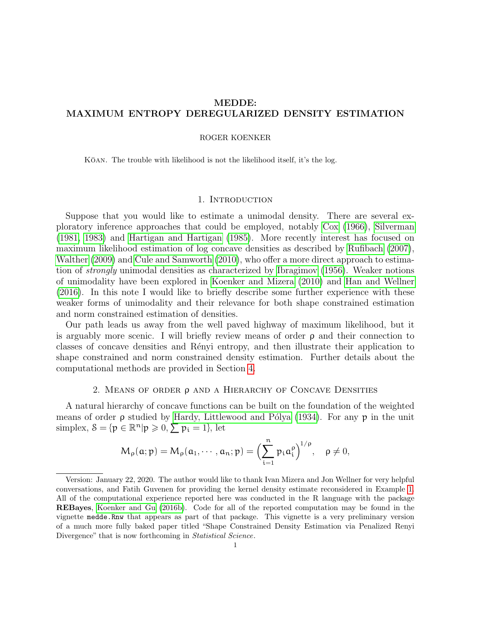# MEDDE: MAXIMUM ENTROPY DEREGULARIZED DENSITY ESTIMATION

## ROGER KOENKER

KOAN. The trouble with likelihood is not the likelihood itself, it's the log.

#### 1. INTRODUCTION

Suppose that you would like to estimate a unimodal density. There are several exploratory inference approaches that could be employed, notably [Cox](#page-9-0) [\(1966\)](#page-9-0), [Silverman](#page-11-0) [\(1981,](#page-11-0) [1983\)](#page-11-1) and [Hartigan and Hartigan](#page-10-0) [\(1985\)](#page-10-0). More recently interest has focused on maximum likelihood estimation of log concave densities as described by [Rufibach](#page-10-1) [\(2007\)](#page-10-1), [Walther](#page-11-2) [\(2009\)](#page-11-2) and [Cule and Samworth](#page-9-1) [\(2010\)](#page-9-1), who offer a more direct approach to estimation of strongly unimodal densities as characterized by [Ibragimov](#page-10-2) [\(1956\)](#page-10-2). Weaker notions of unimodality have been explored in [Koenker and Mizera](#page-10-3) [\(2010\)](#page-10-3) and [Han and Wellner](#page-10-4) [\(2016\)](#page-10-4). In this note I would like to briefly describe some further experience with these weaker forms of unimodality and their relevance for both shape constrained estimation and norm constrained estimation of densities.

Our path leads us away from the well paved highway of maximum likelihood, but it is arguably more scenic. I will briefly review means of order  $\rho$  and their connection to classes of concave densities and Rényi entropy, and then illustrate their application to shape constrained and norm constrained density estimation. Further details about the computational methods are provided in Section [4.](#page-7-0)

## 2. Means of order ρ and a Hierarchy of Concave Densities

A natural hierarchy of concave functions can be built on the foundation of the weighted means of order  $\rho$  studied by Hardy, Littlewood and Pólya [\(1934\)](#page-10-5). For any  $p$  in the unit simplex,  $S = \{p \in \mathbb{R}^n | p \geqslant 0, \sum p_i = 1\}$ , let

$$
M_\rho(\mathfrak{a};p)=M_\rho(\mathfrak{a}_1,\cdots,\mathfrak{a}_n;p)=\Bigl(\sum_{i=1}^n p_i\mathfrak{a}_i^\rho\Bigr)^{1/\rho},\quad \rho\neq 0,
$$

Version: January 22, 2020. The author would like to thank Ivan Mizera and Jon Wellner for very helpful conversations, and Fatih Guvenen for providing the kernel density estimate reconsidered in Example [1.](#page-3-0) All of the computational experience reported here was conducted in the R language with the package REBayes, [Koenker and Gu](#page-10-6) [\(2016b\)](#page-10-6). Code for all of the reported computation may be found in the vignette medde.Rnw that appears as part of that package. This vignette is a very preliminary version of a much more fully baked paper titled "Shape Constrained Density Estimation via Penalized Renyi Divergence" that is now forthcoming in *Statistical Science*.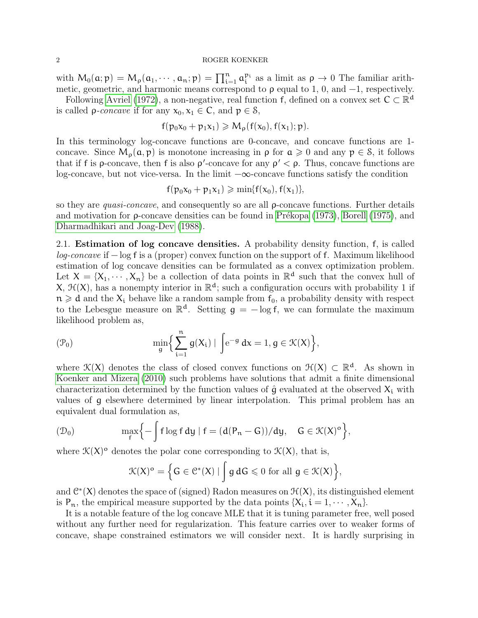with  $M_0(\mathfrak{a}; \mathfrak{p}) = M_\rho(\mathfrak{a}_1, \cdots, \mathfrak{a}_n; \mathfrak{p}) = \prod_{i=1}^n \mathfrak{a}_i^{p_i}$  as a limit as  $\rho \to 0$  The familiar arithmetic, geometric, and harmonic means correspond to  $\rho$  equal to 1, 0, and  $-1$ , respectively.

Following [Avriel](#page-9-2) [\(1972\)](#page-9-2), a non-negative, real function f, defined on a convex set  $C \subset \mathbb{R}^d$ is called  $\rho$ -concave if for any  $x_0, x_1 \in \mathbb{C}$ , and  $p \in \mathcal{S}$ ,

$$
f(p_0x_0+p_1x_1)\geqslant M_\rho(f(x_0),f(x_1);p).
$$

In this terminology log-concave functions are 0-concave, and concave functions are 1concave. Since  $M_{\rho}(\mathfrak{a}, \mathfrak{p})$  is monotone increasing in  $\rho$  for  $\mathfrak{a} \geq 0$  and any  $\mathfrak{p} \in \mathcal{S}$ , it follows that if f is  $\rho$ -concave, then f is also  $\rho'$ -concave for any  $\rho' < \rho$ . Thus, concave functions are log-concave, but not vice-versa. In the limit <sup>−</sup>∞-concave functions satisfy the condition

$$
f(p_0x_0+p_1x_1)\geqslant \min\{f(x_0),f(x_1)\},
$$

so they are quasi-concave, and consequently so are all ρ-concave functions. Further details and motivation for  $\rho$ -concave densities can be found in Prékopa [\(1973\)](#page-10-7), [Borell](#page-9-3) [\(1975\)](#page-9-3), and [Dharmadhikari and Joag-Dev](#page-10-8) [\(1988\)](#page-10-8).

2.1. Estimation of log concave densities. A probability density function, f, is called log-concave if − log f is a (proper) convex function on the support of f. Maximum likelihood estimation of log concave densities can be formulated as a convex optimization problem. Let  $X = \{X_1, \dots, X_n\}$  be a collection of data points in  $\mathbb{R}^d$  such that the convex hull of X,  $\mathcal{H}(X)$ , has a nonempty interior in  $\mathbb{R}^d$ ; such a configuration occurs with probability 1 if  $n \geq d$  and the  $X_i$  behave like a random sample from  $f_0$ , a probability density with respect to the Lebesgue measure on  $\mathbb{R}^d$ . Setting  $g = -\log f$ , we can formulate the maximum likelihood problem as,

$$
(\mathcal{P}_0) \hspace{1.5cm} \min_g \Bigl\{ \sum_{i=1}^n \, g(X_i) \mid \, \int \!\! {\rm e}^{-g} \, dx = 1, g \in \mathcal{K}(X) \Bigr\},
$$

where  $\mathcal{K}(X)$  denotes the class of closed convex functions on  $\mathcal{H}(X) \subset \mathbb{R}^d$ . As shown in [Koenker and Mizera](#page-10-3) [\(2010\)](#page-10-3) such problems have solutions that admit a finite dimensional characterization determined by the function values of  $\hat{g}$  evaluated at the observed  $X_i$  with values of g elsewhere determined by linear interpolation. This primal problem has an equivalent dual formulation as,

$$
(\mathcal{D}_0) \qquad \qquad \max_f \Bigl\{-\int f\log f\,dy\mid f=(d(P_n-G))/dy,\quad G\in \mathcal{K}(X)^o\Bigr\},
$$

where  $\mathcal{K}(X)$ <sup>o</sup> denotes the polar cone corresponding to  $\mathcal{K}(X)$ , that is,

$$
\mathcal{K}(X)^{\mathrm{o}} = \Big\{G \in \mathcal{C}^*(X) \mid \int g \, dG \leqslant 0 \text{ for all } g \in \mathcal{K}(X) \Big\},
$$

and  $\mathcal{C}^*(X)$  denotes the space of (signed) Radon measures on  $\mathcal{H}(X)$ , its distinguished element is  $P_n$ , the empirical measure supported by the data points  $\{X_i, i = 1, \dots, X_n\}$ .

It is a notable feature of the log concave MLE that it is tuning parameter free, well posed without any further need for regularization. This feature carries over to weaker forms of concave, shape constrained estimators we will consider next. It is hardly surprising in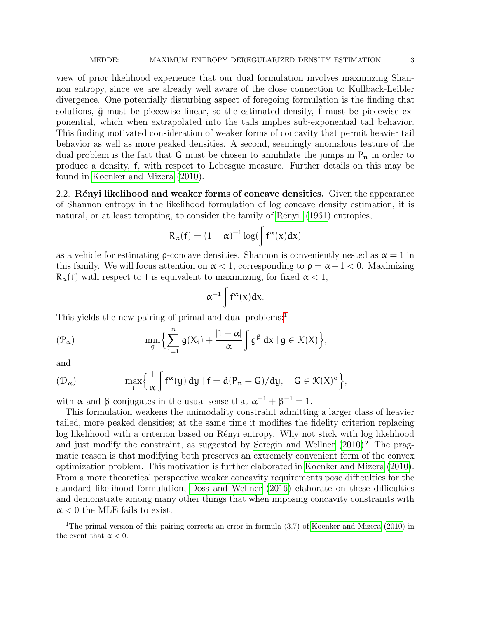view of prior likelihood experience that our dual formulation involves maximizing Shannon entropy, since we are already well aware of the close connection to Kullback-Leibler divergence. One potentially disturbing aspect of foregoing formulation is the finding that solutions,  $\hat{q}$  must be piecewise linear, so the estimated density,  $\hat{f}$  must be piecewise exponential, which when extrapolated into the tails implies sub-exponential tail behavior. This finding motivated consideration of weaker forms of concavity that permit heavier tail behavior as well as more peaked densities. A second, seemingly anomalous feature of the dual problem is the fact that G must be chosen to annihilate the jumps in  $P_n$  in order to produce a density, f, with respect to Lebesgue measure. Further details on this may be found in [Koenker and Mizera](#page-10-3) [\(2010\)](#page-10-3).

2.2. Rényi likelihood and weaker forms of concave densities. Given the appearance of Shannon entropy in the likelihood formulation of log concave density estimation, it is natural, or at least tempting, to consider the family of Rényi [\(1961\)](#page-10-9) entropies,

$$
R_{\alpha}(f) = (1 - \alpha)^{-1} \log(\int f^{\alpha}(x) dx)
$$

as a vehicle for estimating **ρ**-concave densities. Shannon is conveniently nested as  $\alpha = 1$  in this family. We will focus attention on  $\alpha < 1$ , corresponding to  $\rho = \alpha - 1 < 0$ . Maximizing  $R_{\alpha}(f)$  with respect to f is equivalent to maximizing, for fixed  $\alpha < 1$ ,

$$
\alpha^{-1}\int f^{\alpha}(x)dx.
$$

This yields the new pairing of primal and dual problems:<sup>[1](#page-2-0)</sup>

$$
(\mathcal{P}_\alpha) \hspace{1.5cm} \min_g \Bigl\{ \sum_{i=1}^n g(X_i) + \frac{|1-\alpha|}{\alpha} \int g^\beta \ dx \ | \ g \in \mathcal{K}(X) \Bigr\},
$$

and

$$
(\mathfrak{D}_{\alpha})\qquad\qquad \max\Bigl\{\frac{1}{\alpha}\int f^{\alpha}(y)\,dy\mid f=d(P_n-G)/dy,\quad G\in \mathfrak{K}(X)^o\Bigr\},
$$

with  $\alpha$  and  $\beta$  conjugates in the usual sense that  $\alpha^{-1} + \beta^{-1} = 1$ .

This formulation weakens the unimodality constraint admitting a larger class of heavier tailed, more peaked densities; at the same time it modifies the fidelity criterion replacing log likelihood with a criterion based on Rényi entropy. Why not stick with log likelihood and just modify the constraint, as suggested by [Seregin and Wellner](#page-10-10) [\(2010\)](#page-10-10)? The pragmatic reason is that modifying both preserves an extremely convenient form of the convex optimization problem. This motivation is further elaborated in [Koenker and Mizera](#page-10-3) [\(2010\)](#page-10-3). From a more theoretical perspective weaker concavity requirements pose difficulties for the standard likelihood formulation, [Doss and Wellner](#page-10-11) [\(2016\)](#page-10-11) elaborate on these difficulties and demonstrate among many other things that when imposing concavity constraints with  $\alpha$  < 0 the MLE fails to exist.

<span id="page-2-0"></span><sup>&</sup>lt;sup>1</sup>The primal version of this pairing corrects an error in formula (3.7) of [Koenker and Mizera](#page-10-3) [\(2010\)](#page-10-3) in the event that  $\alpha < 0$ .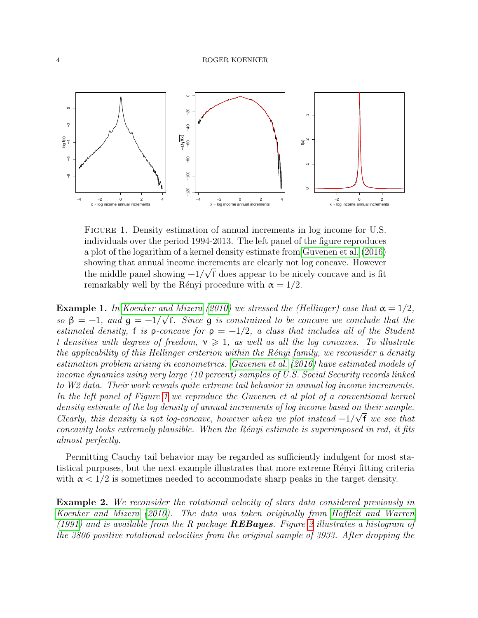

<span id="page-3-1"></span>Figure 1. Density estimation of annual increments in log income for U.S. individuals over the period 1994-2013. The left panel of the figure reproduces a plot of the logarithm of a kernel density estimate from [Guvenen et al.](#page-10-12) [\(2016\)](#page-10-12) showing that annual income increments are clearly not log concave. However the middle panel showing  $-1/\sqrt{f}$  does appear to be nicely concave and is fit remarkably well by the Rényi procedure with  $\alpha = 1/2$ .

<span id="page-3-0"></span>**Example 1.** In [Koenker and Mizera](#page-10-3) [\(2010\)](#page-10-3) we stressed the (Hellinger) case that  $\alpha = 1/2$ , so  $\beta = -1$ , and  $g = -1/\sqrt{f}$ . Since g is constrained to be concave we conclude that the estimated density, f is  $\rho$ -concave for  $\rho = -1/2$ , a class that includes all of the Student t densities with degrees of freedom,  $v \ge 1$ , as well as all the log concaves. To illustrate the applicability of this Hellinger criterion within the Rényi family, we reconsider a density estimation problem arising in econometrics. [Guvenen et al.](#page-10-12) [\(2016\)](#page-10-12) have estimated models of income dynamics using very large (10 percent) samples of U.S. Social Security records linked to W2 data. Their work reveals quite extreme tail behavior in annual log income increments. In the left panel of Figure [1](#page-3-1) we reproduce the Guvenen et al plot of a conventional kernel density estimate of the log density of annual increments of log income based on their sample. Clearly, this density is not log-concave, however when we plot instead  $-1/\sqrt{f}$  we see that concavity looks extremely plausible. When the  $Rényi$  estimate is superimposed in red, it fits almost perfectly.

Permitting Cauchy tail behavior may be regarded as sufficiently indulgent for most statistical purposes, but the next example illustrates that more extreme Rényi fitting criteria with  $\alpha < 1/2$  is sometimes needed to accommodate sharp peaks in the target density.

<span id="page-3-2"></span>Example 2. We reconsider the rotational velocity of stars data considered previously in [Koenker and Mizera](#page-10-3) [\(2010\)](#page-10-3). The data was taken originally from [Hoffleit and Warren](#page-10-13) [\(1991\)](#page-10-13) and is available from the R package **REBayes**. Figure [2](#page-4-0) illustrates a histogram of the 3806 positive rotational velocities from the original sample of 3933. After dropping the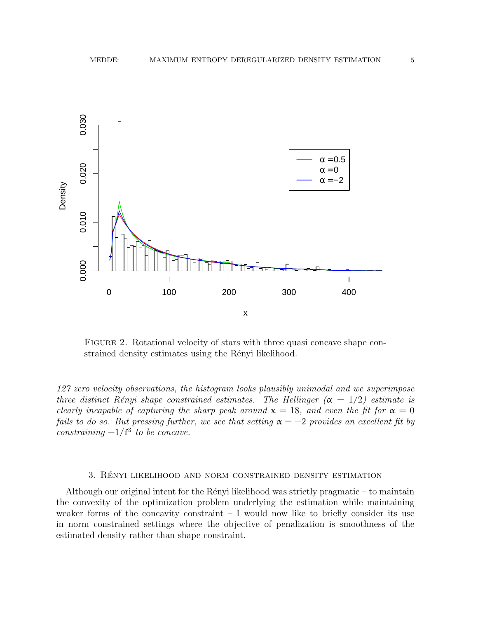

<span id="page-4-0"></span>FIGURE 2. Rotational velocity of stars with three quasi concave shape constrained density estimates using the Rényi likelihood.

127 zero velocity observations, the histogram looks plausibly unimodal and we superimpose three distinct Rényi shape constrained estimates. The Hellinger  $(\alpha = 1/2)$  estimate is clearly incapable of capturing the sharp peak around  $x = 18$ , and even the fit for  $\alpha = 0$ fails to do so. But pressing further, we see that setting  $\alpha = -2$  provides an excellent fit by constraining  $-1/f^3$  to be concave.

## 3. Renyi likelihood and norm constrained density estimation ´

Although our original intent for the Rényi likelihood was strictly pragmatic  $-$  to maintain the convexity of the optimization problem underlying the estimation while maintaining weaker forms of the concavity constraint  $- I$  would now like to briefly consider its use in norm constrained settings where the objective of penalization is smoothness of the estimated density rather than shape constraint.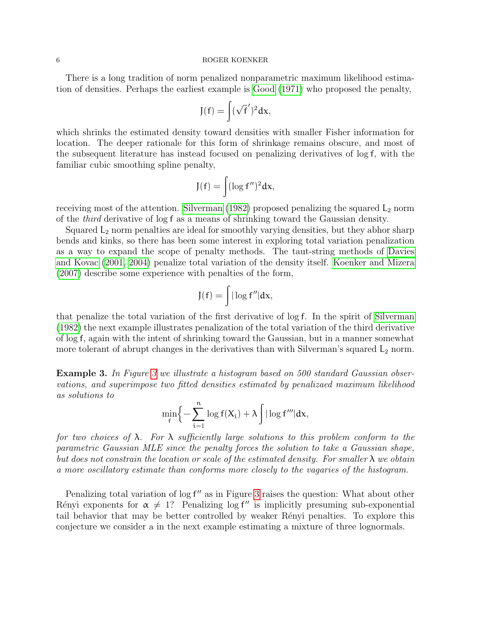There is a long tradition of norm penalized nonparametric maximum likelihood estimation of densities. Perhaps the earliest example is [Good](#page-10-14) [\(1971\)](#page-10-14) who proposed the penalty,

$$
J(f)=\int (\sqrt{f}')^2 dx,
$$

which shrinks the estimated density toward densities with smaller Fisher information for location. The deeper rationale for this form of shrinkage remains obscure, and most of the subsequent literature has instead focused on penalizing derivatives of log f, with the familiar cubic smoothing spline penalty,

$$
J(f) = \int (\log f'')^2 dx,
$$

receiving most of the attention. [Silverman](#page-11-3)  $(1982)$  proposed penalizing the squared  $L_2$  norm of the third derivative of log f as a means of shrinking toward the Gaussian density.

Squared  $L_2$  norm penalties are ideal for smoothly varying densities, but they abhor sharp bends and kinks, so there has been some interest in exploring total variation penalization as a way to expand the scope of penalty methods. The taut-string methods of [Davies](#page-9-4) [and Kovac](#page-9-4) [\(2001,](#page-9-4) [2004\)](#page-10-15) penalize total variation of the density itself. [Koenker and Mizera](#page-10-16) [\(2007\)](#page-10-16) describe some experience with penalties of the form,

$$
J(f)=\int|\log f''|dx,
$$

that penalize the total variation of the first derivative of log f. In the spirit of [Silverman](#page-11-3) [\(1982\)](#page-11-3) the next example illustrates penalization of the total variation of the third derivative of log f, again with the intent of shrinking toward the Gaussian, but in a manner somewhat more tolerant of abrupt changes in the derivatives than with Silverman's squared  $L_2$  norm.

<span id="page-5-0"></span>**Example [3](#page-6-0).** In Figure 3 we illustrate a histogram based on 500 standard Gaussian observations, and superimpose two fitted densities estimated by penalizaed maximum likelihood as solutions to

$$
\min_f \Biggl\{ - \sum_{i=1}^n \log f(X_i) + \lambda \int | \log f''' | dx,
$$

for two choices of  $\lambda$ . For  $\lambda$  sufficiently large solutions to this problem conform to the parametric Gaussian MLE since the penalty forces the solution to take a Gaussian shape, but does not constrain the location or scale of the estimated density. For smaller  $\lambda$  we obtain a more oscillatory estimate than conforms more closely to the vagaries of the histogram.

Penalizing total variation of  $\log f''$  as in Figure [3](#page-6-0) raises the question: What about other Rényi exponents for  $\alpha \neq 1$ ? Penalizing log f'' is implicitly presuming sub-exponential tail behavior that may be better controlled by weaker Rényi penalties. To explore this conjecture we consider a in the next example estimating a mixture of three lognormals.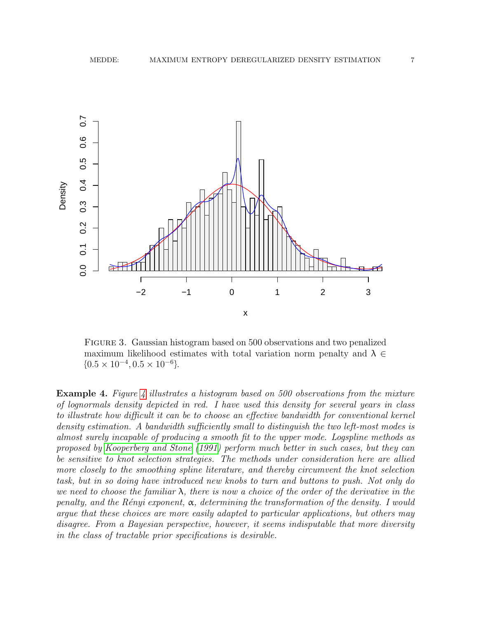

<span id="page-6-0"></span>Figure 3. Gaussian histogram based on 500 observations and two penalized maximum likelihood estimates with total variation norm penalty and  $\lambda \in$  ${0.5 \times 10^{-4}, 0.5 \times 10^{-6}}.$ 

**Example [4](#page-7-1).** Figure 4 illustrates a histogram based on 500 observations from the mixture of lognormals density depicted in red. I have used this density for several years in class to illustrate how difficult it can be to choose an effective bandwidth for conventional kernel density estimation. A bandwidth sufficiently small to distinguish the two left-most modes is almost surely incapable of producing a smooth fit to the upper mode. Logspline methods as proposed by [Kooperberg and Stone](#page-10-17) [\(1991\)](#page-10-17) perform much better in such cases, but they can be sensitive to knot selection strategies. The methods under consideration here are allied more closely to the smoothing spline literature, and thereby circumvent the knot selection task, but in so doing have introduced new knobs to turn and buttons to push. Not only do we need to choose the familiar  $\lambda$ , there is now a choice of the order of the derivative in the penalty, and the Rényi exponent,  $\alpha$ , determining the transformation of the density. I would argue that these choices are more easily adapted to particular applications, but others may disagree. From a Bayesian perspective, however, it seems indisputable that more diversity in the class of tractable prior specifications is desirable.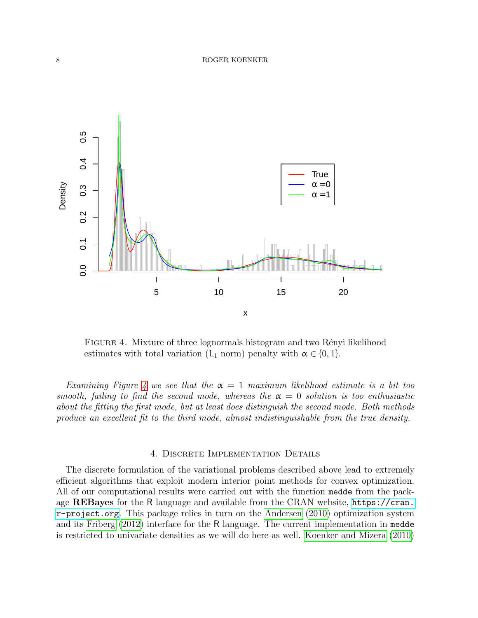

<span id="page-7-1"></span>FIGURE 4. Mixture of three lognormals histogram and two Rényi likelihood estimates with total variation (L<sub>1</sub> norm) penalty with  $\alpha \in \{0, 1\}$ .

Examining Figure [4](#page-7-1) we see that the  $\alpha = 1$  maximum likelihood estimate is a bit too smooth, failing to find the second mode, whereas the  $\alpha = 0$  solution is too enthusiastic about the fitting the first mode, but at least does distinguish the second mode. Both methods produce an excellent fit to the third mode, almost indistinguishable from the true density.

## 4. Discrete Implementation Details

<span id="page-7-0"></span>The discrete formulation of the variational problems described above lead to extremely efficient algorithms that exploit modern interior point methods for convex optimization. All of our computational results were carried out with the function medde from the package REBayes for the R language and available from the CRAN website, [https://cran.](https://cran.r-project.org) [r-project.org](https://cran.r-project.org). This package relies in turn on the [Andersen](#page-9-5) [\(2010\)](#page-9-5) optimization system and its [Friberg](#page-10-18) [\(2012\)](#page-10-18) interface for the R language. The current implementation in medde is restricted to univariate densities as we will do here as well. [Koenker and Mizera](#page-10-3) [\(2010\)](#page-10-3)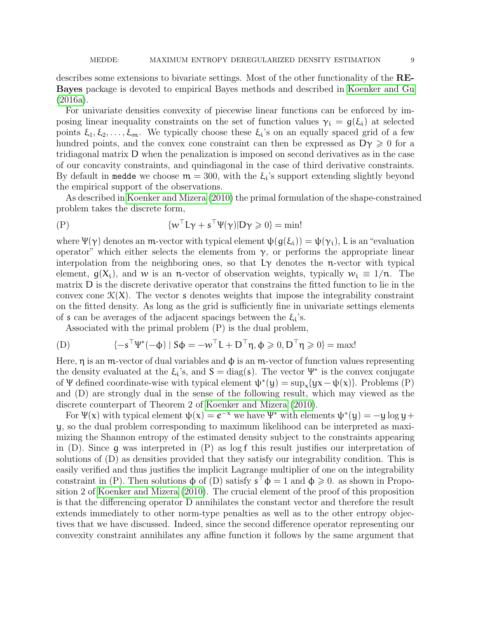describes some extensions to bivariate settings. Most of the other functionality of the RE-Bayes package is devoted to empirical Bayes methods and described in [Koenker and Gu](#page-10-19) [\(2016a\)](#page-10-19).

For univariate densities convexity of piecewise linear functions can be enforced by imposing linear inequality constraints on the set of function values  $\gamma_i = g(\xi_i)$  at selected points  $\xi_1, \xi_2, \ldots, \xi_m$ . We typically choose these  $\xi_i$ 's on an equally spaced grid of a few hundred points, and the convex cone constraint can then be expressed as  $D\gamma \geq 0$  for a tridiagonal matrix D when the penalization is imposed on second derivatives as in the case of our concavity constraints, and quindiagonal in the case of third derivative constraints. By default in medde we choose  $m = 300$ , with the  $\xi_i$ 's support extending slightly beyond the empirical support of the observations.

As described in [Koenker and Mizera](#page-10-3) [\(2010\)](#page-10-3) the primal formulation of the shape-constrained problem takes the discrete form,

$$
\{\mathbf w^\top \mathbf L \mathbf \gamma + \mathbf s^\top \mathbf \Psi(\mathbf \gamma)| \mathbf D \mathbf \gamma \geqslant 0\} = \min!
$$

where  $\Psi(\gamma)$  denotes an m-vector with typical element  $\psi(g(\xi_i)) = \psi(\gamma_i)$ , L is an "evaluation" operator" which either selects the elements from  $γ$ , or performs the appropriate linear interpolation from the neighboring ones, so that  $L\gamma$  denotes the n-vector with typical element,  $g(X_i)$ , and w is an n-vector of observation weights, typically  $w_i \equiv 1/n$ . The matrix D is the discrete derivative operator that constrains the fitted function to lie in the convex cone  $\mathcal{K}(X)$ . The vector s denotes weights that impose the integrability constraint on the fitted density. As long as the grid is sufficiently fine in univariate settings elements of s can be averages of the adjacent spacings between the  $\xi_i$ 's.

Associated with the primal problem (P) is the dual problem,

(D) 
$$
\{-\mathbf{s}^\top \Psi^*(-\boldsymbol{\phi}) \mid \mathbf{S}\boldsymbol{\phi} = -\mathbf{w}^\top \mathbf{L} + \mathbf{D}^\top \boldsymbol{\eta}, \boldsymbol{\phi} \geqslant 0, \mathbf{D}^\top \boldsymbol{\eta} \geqslant 0\} = \max!
$$

Here,  $\eta$  is an m-vector of dual variables and  $\phi$  is an m-vector of function values representing the density evaluated at the  $\xi_i$ 's, and  $S = \text{diag}(s)$ . The vector  $\Psi^*$  is the convex conjugate of Ψ defined coordinate-wise with typical element  $\psi^*(y) = \sup_x \{yx - \psi(x)\}$ . Problems (P) and (D) are strongly dual in the sense of the following result, which may viewed as the discrete counterpart of Theorem 2 of [Koenker and Mizera](#page-10-3) [\(2010\)](#page-10-3).

For  $\Psi(x)$  with typical element  $\psi(x) = e^{-x}$  we have  $\Psi^*$  with elements  $\psi^*(y) = -y \log y +$ y, so the dual problem corresponding to maximum likelihood can be interpreted as maximizing the Shannon entropy of the estimated density subject to the constraints appearing in  $(D)$ . Since q was interpreted in  $(P)$  as log f this result justifies our interpretation of solutions of (D) as densities provided that they satisfy our integrability condition. This is easily verified and thus justifies the implicit Lagrange multiplier of one on the integrability constraint in (P). Then solutions  $\phi$  of (D) satisfy  $s^{\dagger} \phi = 1$  and  $\phi \geq 0$ . as shown in Proposition 2 of [Koenker and Mizera](#page-10-3) [\(2010\)](#page-10-3). The crucial element of the proof of this proposition is that the differencing operator D annihilates the constant vector and therefore the result extends immediately to other norm-type penalties as well as to the other entropy objectives that we have discussed. Indeed, since the second difference operator representing our convexity constraint annihilates any affine function it follows by the same argument that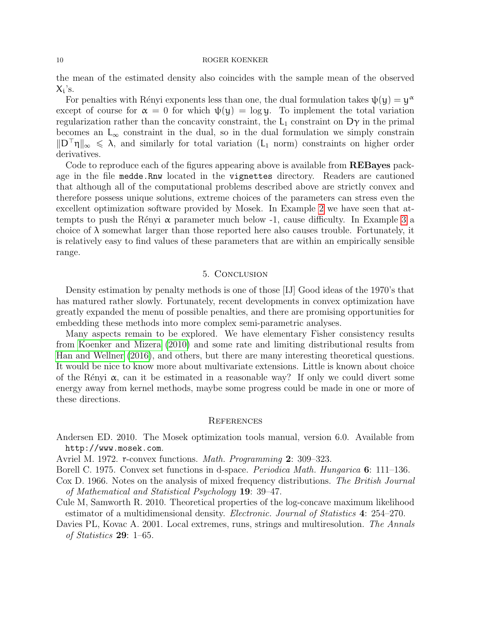the mean of the estimated density also coincides with the sample mean of the observed  $X_i$ 's.

For penalties with Rényi exponents less than one, the dual formulation takes  $\psi(y) = y^{\alpha}$ except of course for  $\alpha = 0$  for which  $\psi(y) = \log y$ . To implement the total variation regularization rather than the concavity constraint, the  $L_1$  constraint on  $D\gamma$  in the primal becomes an  $L_{\infty}$  constraint in the dual, so in the dual formulation we simply constrain  $||D \nvert \eta||_{\infty} \le \lambda$ , and similarly for total variation (L<sub>1</sub> norm) constraints on higher order derivatives.

Code to reproduce each of the figures appearing above is available from REBayes package in the file medde.Rnw located in the vignettes directory. Readers are cautioned that although all of the computational problems described above are strictly convex and therefore possess unique solutions, extreme choices of the parameters can stress even the excellent optimization software provided by Mosek. In Example [2](#page-3-2) we have seen that attempts to push the Rényi  $\alpha$  parameter much below -1, cause difficulty. In Example [3](#page-5-0) a choice of  $\lambda$  somewhat larger than those reported here also causes trouble. Fortunately, it is relatively easy to find values of these parameters that are within an empirically sensible range.

## 5. Conclusion

Density estimation by penalty methods is one of those [IJ] Good ideas of the 1970's that has matured rather slowly. Fortunately, recent developments in convex optimization have greatly expanded the menu of possible penalties, and there are promising opportunities for embedding these methods into more complex semi-parametric analyses.

Many aspects remain to be explored. We have elementary Fisher consistency results from [Koenker and Mizera](#page-10-3) [\(2010\)](#page-10-3) and some rate and limiting distributional results from [Han and Wellner](#page-10-4) [\(2016\)](#page-10-4), and others, but there are many interesting theoretical questions. It would be nice to know more about multivariate extensions. Little is known about choice of the Rényi  $\alpha$ , can it be estimated in a reasonable way? If only we could divert some energy away from kernel methods, maybe some progress could be made in one or more of these directions.

## **REFERENCES**

- <span id="page-9-5"></span>Andersen ED. 2010. The Mosek optimization tools manual, version 6.0. Available from http://www.mosek.com.
- <span id="page-9-2"></span>Avriel M. 1972. r-convex functions. Math. Programming 2: 309–323.
- <span id="page-9-3"></span>Borell C. 1975. Convex set functions in d-space. *Periodica Math. Hungarica* 6: 111–136.
- <span id="page-9-0"></span>Cox D. 1966. Notes on the analysis of mixed frequency distributions. The British Journal of Mathematical and Statistical Psychology 19: 39–47.
- <span id="page-9-1"></span>Cule M, Samworth R. 2010. Theoretical properties of the log-concave maximum likelihood estimator of a multidimensional density. *Electronic. Journal of Statistics* 4: 254–270.
- <span id="page-9-4"></span>Davies PL, Kovac A. 2001. Local extremes, runs, strings and multiresolution. The Annals of Statistics 29: 1–65.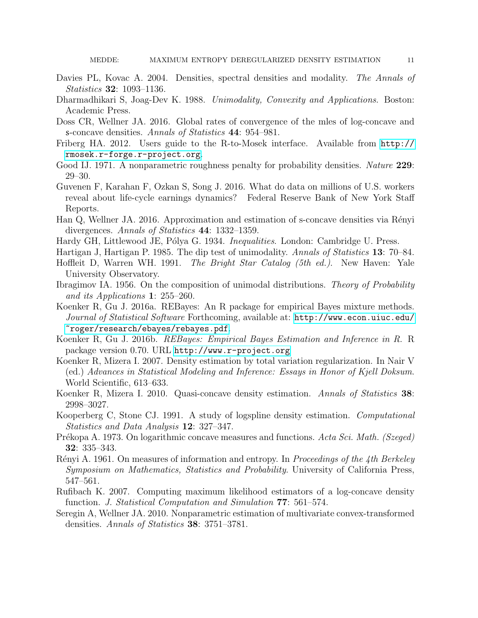- <span id="page-10-15"></span>Davies PL, Kovac A. 2004. Densities, spectral densities and modality. The Annals of Statistics 32: 1093–1136.
- <span id="page-10-8"></span>Dharmadhikari S, Joag-Dev K. 1988. Unimodality, Convexity and Applications. Boston: Academic Press.
- <span id="page-10-11"></span>Doss CR, Wellner JA. 2016. Global rates of convergence of the mles of log-concave and s-concave densities. Annals of Statistics 44: 954–981.
- <span id="page-10-18"></span>Friberg HA. 2012. Users guide to the R-to-Mosek interface. Available from [http://](http://rmosek.r-forge.r-project.org) [rmosek.r-forge.r-project.org](http://rmosek.r-forge.r-project.org).
- <span id="page-10-14"></span>Good IJ. 1971. A nonparametric roughness penalty for probability densities. Nature 229: 29–30.
- <span id="page-10-12"></span>Guvenen F, Karahan F, Ozkan S, Song J. 2016. What do data on millions of U.S. workers reveal about life-cycle earnings dynamics? Federal Reserve Bank of New York Staff Reports.
- <span id="page-10-4"></span>Han Q, Wellner JA. 2016. Approximation and estimation of s-concave densities via Rényi divergences. Annals of Statistics 44: 1332–1359.
- <span id="page-10-5"></span>Hardy GH, Littlewood JE, Pólya G. 1934. *Inequalities.* London: Cambridge U. Press.
- <span id="page-10-0"></span>Hartigan J, Hartigan P. 1985. The dip test of unimodality. Annals of Statistics 13: 70–84.
- <span id="page-10-13"></span>Hoffleit D, Warren WH. 1991. The Bright Star Catalog (5th ed.). New Haven: Yale University Observatory.
- <span id="page-10-2"></span>Ibragimov IA. 1956. On the composition of unimodal distributions. Theory of Probability and its Applications 1: 255–260.
- <span id="page-10-19"></span>Koenker R, Gu J. 2016a. REBayes: An R package for empirical Bayes mixture methods. Journal of Statistical Software Forthcoming, available at: [http://www.econ.uiuc.edu/](http://www.econ.uiuc.edu/~roger/research/ebayes/rebayes.pdf) [~roger/research/ebayes/rebayes.pdf](http://www.econ.uiuc.edu/~roger/research/ebayes/rebayes.pdf).
- <span id="page-10-6"></span>Koenker R, Gu J. 2016b. REBayes: Empirical Bayes Estimation and Inference in R. R package version 0.70. URL <http://www.r-project.org>
- <span id="page-10-16"></span>Koenker R, Mizera I. 2007. Density estimation by total variation regularization. In Nair V (ed.) Advances in Statistical Modeling and Inference: Essays in Honor of Kjell Doksum. World Scientific, 613–633.
- <span id="page-10-3"></span>Koenker R, Mizera I. 2010. Quasi-concave density estimation. Annals of Statistics 38: 2998–3027.
- <span id="page-10-17"></span>Kooperberg C, Stone CJ. 1991. A study of logspline density estimation. Computational Statistics and Data Analysis 12: 327–347.
- <span id="page-10-7"></span>Prékopa A. 1973. On logarithmic concave measures and functions. Acta Sci. Math. (Szeged) 32: 335–343.
- <span id="page-10-9"></span>Rényi A. 1961. On measures of information and entropy. In Proceedings of the 4th Berkeley Symposium on Mathematics, Statistics and Probability. University of California Press, 547–561.
- <span id="page-10-1"></span>Rufibach K. 2007. Computing maximum likelihood estimators of a log-concave density function. J. Statistical Computation and Simulation 77: 561–574.
- <span id="page-10-10"></span>Seregin A, Wellner JA. 2010. Nonparametric estimation of multivariate convex-transformed densities. Annals of Statistics 38: 3751–3781.